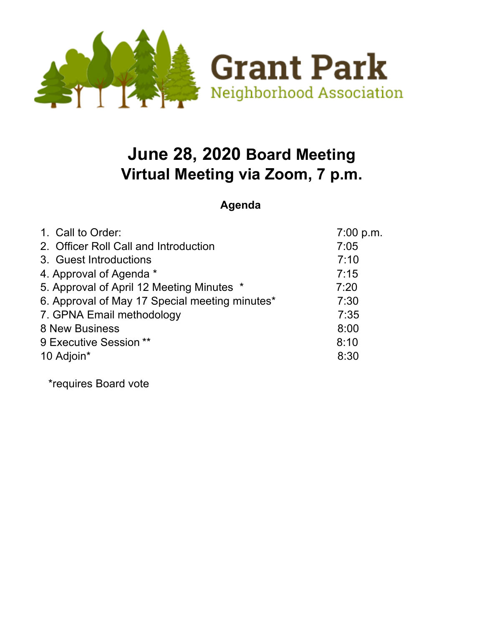

## **June 28, 2020 Board Meeting Virtual Meeting via Zoom, 7 p.m.**

**Agenda**

| 1. Call to Order:                              | 7:00 p.m. |
|------------------------------------------------|-----------|
| 2. Officer Roll Call and Introduction          | 7:05      |
| 3. Guest Introductions                         | 7:10      |
| 4. Approval of Agenda *                        | 7:15      |
| 5. Approval of April 12 Meeting Minutes *      | 7:20      |
| 6. Approval of May 17 Special meeting minutes* | 7:30      |
| 7. GPNA Email methodology                      | 7:35      |
| <b>8 New Business</b>                          | 8:00      |
| 9 Executive Session **                         | 8:10      |
| 10 Adjoin*                                     | 8:30      |

\*requires Board vote